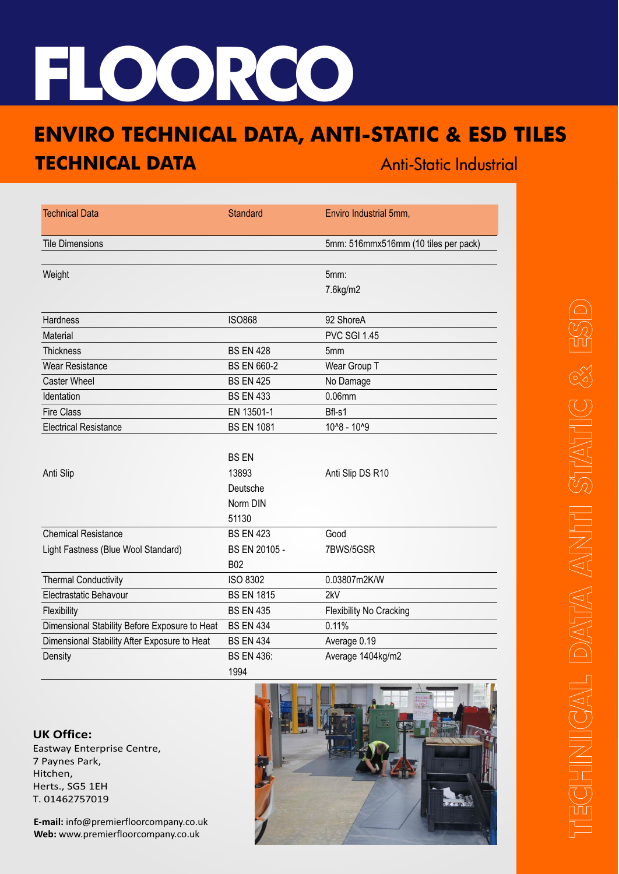## **FLOORCO**

## **ENVIRO TECHNICAL DATA, ANTI-STATIC & ESD TILES TECHNICAL DATA**

| <b>FECHNICAL DATA</b>                         |                    | <b>Anti-Static Industrial</b>        |  |
|-----------------------------------------------|--------------------|--------------------------------------|--|
|                                               |                    |                                      |  |
| <b>Technical Data</b>                         | Standard           | Enviro Industrial 5mm,               |  |
| <b>Tile Dimensions</b>                        |                    | 5mm: 516mmx516mm (10 tiles per pack) |  |
| Weight                                        |                    | 5mm:                                 |  |
|                                               |                    | 7.6kg/m2                             |  |
| Hardness                                      | <b>ISO868</b>      | 92 ShoreA                            |  |
| Material                                      |                    | <b>PVC SGI 1.45</b>                  |  |
| Thickness                                     | <b>BS EN 428</b>   | 5mm                                  |  |
| <b>Wear Resistance</b>                        | <b>BS EN 660-2</b> | Wear Group T                         |  |
| <b>Caster Wheel</b>                           | <b>BS EN 425</b>   | No Damage                            |  |
| Identation                                    | <b>BS EN 433</b>   | 0.06mm                               |  |
| <b>Fire Class</b>                             | EN 13501-1         | Bfl-s1                               |  |
| <b>Electrical Resistance</b>                  | <b>BS EN 1081</b>  | 10^8 - 10^9                          |  |
|                                               |                    |                                      |  |
|                                               | <b>BS EN</b>       |                                      |  |
| Anti Slip                                     | 13893              | Anti Slip DS R10                     |  |
|                                               | Deutsche           |                                      |  |
|                                               | Norm DIN           |                                      |  |
|                                               | 51130              |                                      |  |
| <b>Chemical Resistance</b>                    | <b>BS EN 423</b>   | Good                                 |  |
| Light Fastness (Blue Wool Standard)           | BS EN 20105 -      | 7BWS/5GSR                            |  |
|                                               | <b>B02</b>         |                                      |  |
| <b>Thermal Conductivity</b>                   | <b>ISO 8302</b>    | 0.03807m2K/W                         |  |
| Electrastatic Behavour                        | <b>BS EN 1815</b>  | 2kV                                  |  |
| Flexibility                                   | <b>BS EN 435</b>   | Flexibility No Cracking              |  |
| Dimensional Stability Before Exposure to Heat | <b>BS EN 434</b>   | 0.11%                                |  |
| Dimensional Stability After Exposure to Heat  | <b>BS EN 434</b>   | Average 0.19                         |  |
| Density                                       | <b>BS EN 436:</b>  | Average 1404kg/m2                    |  |
|                                               | 1994               |                                      |  |

## **UK Office:**

Eastway Enterprise Centre, 7 Paynes Park, Hitchen, Herts., SG5 1EH T. 01462757019

**E-mail:** info@premierfloorcompany.co.uk **Web:** www.premierfloorcompany.co.uk